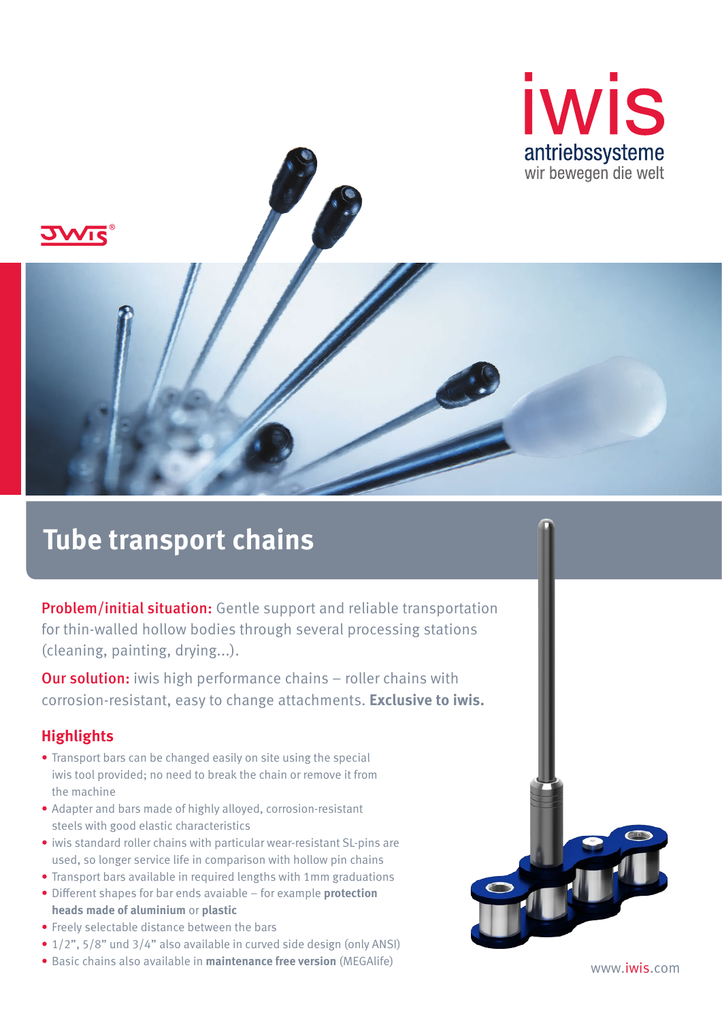



# **Tube transport chains**

**Problem/initial situation:** Gentle support and reliable transportation for thin-walled hollow bodies through several processing stations (cleaning, painting, drying...).

**Our solution:** iwis high performance chains – roller chains with corrosion-resistant, easy to change attachments. **Exclusive to iwis.**

#### **Highlights**

- Transport bars can be changed easily on site using the special iwis tool provided; no need to break the chain or remove it from the machine
- Adapter and bars made of highly alloyed, corrosion-resistant steels with good elastic characteristics
- iwis standard roller chains with particular wear-resistant SL-pins are used, so longer service life in comparison with hollow pin chains
- Transport bars available in required lengths with 1mm graduations
- Different shapes for bar ends avaiable for example **protection heads made of aluminium** or **plastic**
- Freely selectable distance between the bars
- 1/2", 5/8" und 3/4" also available in curved side design (only ANSI)
- Basic chains also available in **maintenance free version** (MEGAlife) www.iwis.com